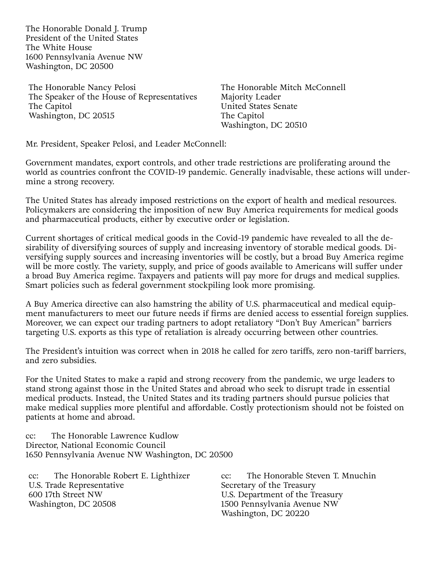The Honorable Donald J. Trump President of the United States The White House 1600 Pennsylvania Avenue NW Washington, DC 20500

The Honorable Nancy Pelosi The Speaker of the House of Representatives The Capitol Washington, DC 20515

The Honorable Mitch McConnell Majority Leader United States Senate The Capitol Washington, DC 20510

Mr. President, Speaker Pelosi, and Leader McConnell:

Government mandates, export controls, and other trade restrictions are proliferating around the world as countries confront the COVID-19 pandemic. Generally inadvisable, these actions will undermine a strong recovery.

The United States has already imposed restrictions on the export of health and medical resources. Policymakers are considering the imposition of new Buy America requirements for medical goods and pharmaceutical products, either by executive order or legislation.

Current shortages of critical medical goods in the Covid-19 pandemic have revealed to all the desirability of diversifying sources of supply and increasing inventory of storable medical goods. Diversifying supply sources and increasing inventories will be costly, but a broad Buy America regime will be more costly. The variety, supply, and price of goods available to Americans will suffer under a broad Buy America regime. Taxpayers and patients will pay more for drugs and medical supplies. Smart policies such as federal government stockpiling look more promising.

A Buy America directive can also hamstring the ability of U.S. pharmaceutical and medical equipment manufacturers to meet our future needs if firms are denied access to essential foreign supplies. Moreover, we can expect our trading partners to adopt retaliatory "Don't Buy American" barriers targeting U.S. exports as this type of retaliation is already occurring between other countries.

The President's intuition was correct when in 2018 he called for zero tariffs, zero non-tariff barriers, and zero subsidies.

For the United States to make a rapid and strong recovery from the pandemic, we urge leaders to stand strong against those in the United States and abroad who seek to disrupt trade in essential medical products. Instead, the United States and its trading partners should pursue policies that make medical supplies more plentiful and affordable. Costly protectionism should not be foisted on patients at home and abroad.

cc: The Honorable Lawrence Kudlow Director, National Economic Council 1650 Pennsylvania Avenue NW Washington, DC 20500

cc: The Honorable Robert E. Lighthizer U.S. Trade Representative 600 17th Street NW Washington, DC 20508

cc: The Honorable Steven T. Mnuchin Secretary of the Treasury U.S. Department of the Treasury 1500 Pennsylvania Avenue NW Washington, DC 20220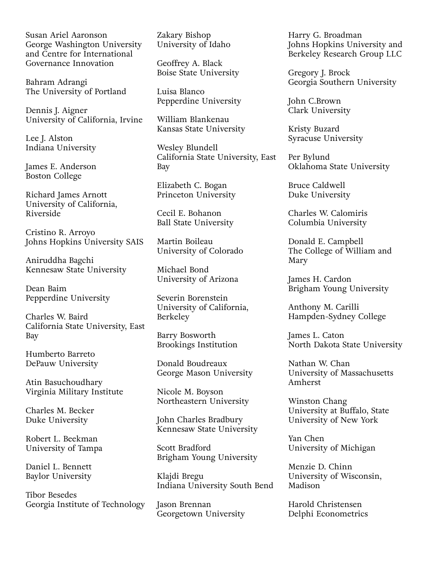Susan Ariel Aaronson George Washington University and Centre for International Governance Innovation

Bahram Adrangi The University of Portland

Dennis J. Aigner University of California, Irvine

Lee J. Alston Indiana University

James E. Anderson Boston College

Richard James Arnott University of California, Riverside

Cristino R. Arroyo Johns Hopkins University SAIS

Aniruddha Bagchi Kennesaw State University

Dean Baim Pepperdine University

Charles W. Baird California State University, East Bay

Humberto Barreto DePauw University

Atin Basuchoudhary Virginia Military Institute

Charles M. Becker Duke University

Robert L. Beekman University of Tampa

Daniel L. Bennett Baylor University

Tibor Besedes Georgia Institute of Technology Zakary Bishop University of Idaho

Geoffrey A. Black Boise State University

Luisa Blanco Pepperdine University

William Blankenau Kansas State University

Wesley Blundell California State University, East Bay

Elizabeth C. Bogan Princeton University

Cecil E. Bohanon Ball State University

Martin Boileau University of Colorado

Michael Bond University of Arizona

Severin Borenstein University of California, Berkeley

Barry Bosworth Brookings Institution

Donald Boudreaux George Mason University

Nicole M. Boyson Northeastern University

John Charles Bradbury Kennesaw State University

Scott Bradford Brigham Young University

Klajdi Bregu Indiana University South Bend

Jason Brennan Georgetown University

Harry G. Broadman Johns Hopkins University and Berkeley Research Group LLC

Gregory J. Brock Georgia Southern University

John C.Brown Clark University

Kristy Buzard Syracuse University

Per Bylund Oklahoma State University

Bruce Caldwell Duke University

Charles W. Calomiris Columbia University

Donald E. Campbell The College of William and Mary

James H. Cardon Brigham Young University

Anthony M. Carilli Hampden-Sydney College

James L. Caton North Dakota State University

Nathan W. Chan University of Massachusetts Amherst

Winston Chang University at Buffalo, State University of New York

Yan Chen University of Michigan

Menzie D. Chinn University of Wisconsin, Madison

Harold Christensen Delphi Econometrics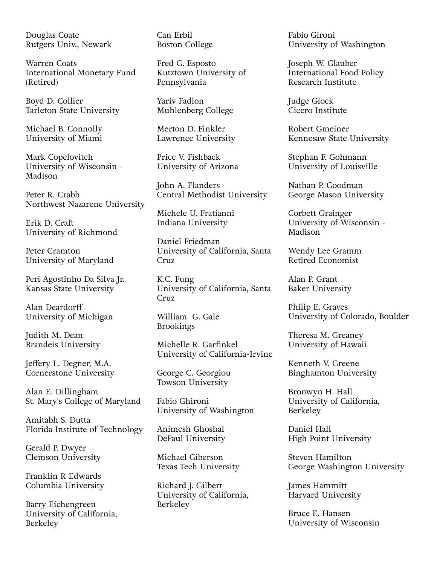Douglas Coate Rutgers Univ., Newark

Warren Coats International Monetary Fund (Retired)

Boyd D. Collier Tarleton State University

Michael B. Connolly University of Miami

Mark Copelovitch University of Wisconsin - Madison

Peter R. Crabb Northwest Nazarene University

Erik D. Craft University of Richmond

Peter Cramton University of Maryland

Peri Agostinho Da Silva Jr. Kansas State University

Alan Deardorff University of Michigan

Judith M. Dean Brandeis University

Jeffery L. Degner, M.A. Cornerstone University

Alan E. Dillingham St. Mary's College of Maryland

Amitabh S. Dutta Florida Institute of Technology

Gerald P. Dwyer Clemson University

Franklin R Edwards Columbia University

Barry Eichengreen University of California, Berkeley

Can Erbil Boston College

Fred G. Esposto Kutztown University of Pennsylvania

Yariv Fadlon Muhlenberg College

Merton D. Finkler Lawrence University

Price V. Fishback University of Arizona

John A. Flanders Central Methodist University

Michele U. Fratianni Indiana University

Daniel Friedman University of California, Santa Cruz

K.C. Fung University of California, Santa Cruz

William G. Gale Brookings

Michelle R. Garfinkel University of California-Irvine

George C. Georgiou Towson University

Fabio Ghironi University of Washington

Animesh Ghoshal DePaul University

Michael Giberson Texas Tech University

Richard J. Gilbert University of California, Berkeley

Fabio Gironi University of Washington

Joseph W. Glauber International Food Policy Research Institute

Judge Glock Cicero Institute

Robert Gmeiner Kennesaw State University

Stephan F. Gohmann University of Louisville

Nathan P. Goodman George Mason University

Corbett Grainger University of Wisconsin - Madison

Wendy Lee Gramm Retired Economist

Alan P. Grant Baker University

Philip E. Graves University of Colorado, Boulder

Theresa M. Greaney University of Hawaii

Kenneth V. Greene Binghamton University

Bronwyn H. Hall University of California, Berkeley

Daniel Hall High Point University

Steven Hamilton George Washington University

James Hammitt Harvard University

Bruce E. Hansen University of Wisconsin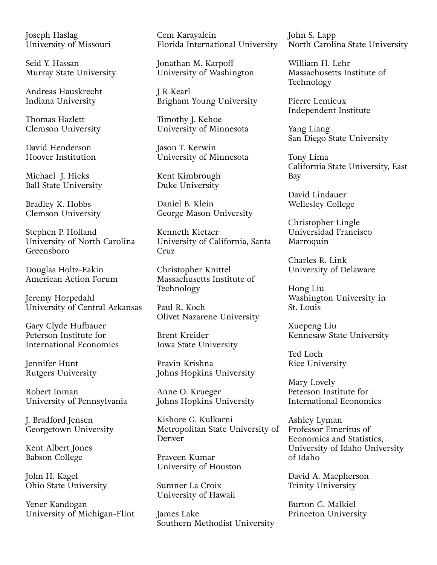Joseph Haslag University of Missouri

Seid Y. Hassan Murray State University

Andreas Hauskrecht Indiana University

Thomas Hazlett Clemson University

David Henderson Hoover Institution

Michael J. Hicks Ball State University

Bradley K. Hobbs Clemson University

Stephen P. Holland University of North Carolina Greensboro

Douglas Holtz-Eakin American Action Forum

Jeremy Horpedahl University of Central Arkansas

Gary Clyde Hufbauer Peterson Institute for International Economics

Jennifer Hunt Rutgers University

Robert Inman University of Pennsylvania

J. Bradford Jensen Georgetown University

Kent Albert Jones Babson College

John H. Kagel Ohio State University

Yener Kandogan University of Michigan-Flint Cem Karayalcin Florida International University

Jonathan M. Karpoff University of Washington

J R Kearl Brigham Young University

Timothy J. Kehoe University of Minnesota

Jason T. Kerwin University of Minnesota

Kent Kimbrough Duke University

Daniel B. Klein George Mason University

Kenneth Kletzer University of California, Santa Cruz.

Christopher Knittel Massachusetts Institute of Technology

Paul R. Koch Olivet Nazarene University

Brent Kreider Iowa State University

Pravin Krishna Johns Hopkins University

Anne O. Krueger Johns Hopkins University

Kishore G. Kulkarni Metropolitan State University of Denver

Praveen Kumar University of Houston

Sumner La Croix University of Hawaii

James Lake Southern Methodist University John S. Lapp North Carolina State University

William H. Lehr Massachusetts Institute of Technology

Pierre Lemieux Independent Institute

Yang Liang San Diego State University

Tony Lima California State University, East Bay

David Lindauer Wellesley College

Christopher Lingle Universidad Francisco Marroquin

Charles R. Link University of Delaware

Hong Liu Washington University in St. Louis

Xuepeng Liu Kennesaw State University

Ted Loch Rice University

Mary Lovely Peterson Institute for International Economics

Ashley Lyman Professor Emeritus of Economics and Statistics, University of Idaho University of Idaho

David A. Macpherson Trinity University

Burton G. Malkiel Princeton University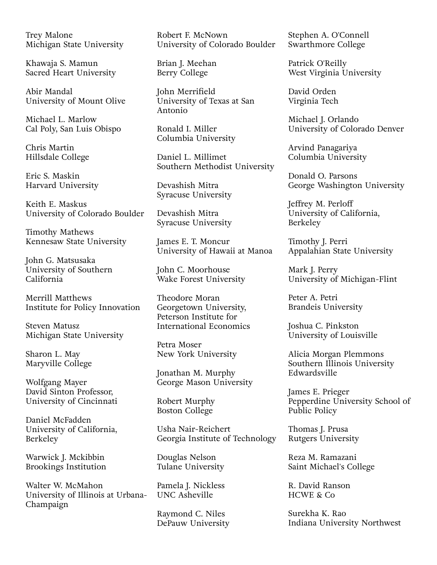Trey Malone Michigan State University

Khawaja S. Mamun Sacred Heart University

Abir Mandal University of Mount Olive

Michael L. Marlow Cal Poly, San Luis Obispo

Chris Martin Hillsdale College

Eric S. Maskin Harvard University

Keith E. Maskus University of Colorado Boulder

Timothy Mathews Kennesaw State University

John G. Matsusaka University of Southern California

Merrill Matthews Institute for Policy Innovation

Steven Matusz Michigan State University

Sharon L. May Maryville College

Wolfgang Mayer David Sinton Professor, University of Cincinnati

Daniel McFadden University of California, Berkeley

Warwick J. Mckibbin Brookings Institution

Walter W. McMahon University of Illinois at Urbana-Champaign

Robert F. McNown University of Colorado Boulder

Brian J. Meehan Berry College

John Merrifield University of Texas at San Antonio

Ronald I. Miller Columbia University

Daniel L. Millimet Southern Methodist University

Devashish Mitra Syracuse University

Devashish Mitra Syracuse University

James E. T. Moncur University of Hawaii at Manoa

John C. Moorhouse Wake Forest University

Theodore Moran Georgetown University, Peterson Institute for International Economics

Petra Moser New York University

Jonathan M. Murphy George Mason University

Robert Murphy Boston College

Usha Nair-Reichert Georgia Institute of Technology

Douglas Nelson Tulane University

Pamela J. Nickless UNC Asheville

Raymond C. Niles DePauw University Stephen A. O'Connell Swarthmore College

Patrick O'Reilly West Virginia University

David Orden Virginia Tech

Michael J. Orlando University of Colorado Denver

Arvind Panagariya Columbia University

Donald O. Parsons George Washington University

Jeffrey M. Perloff University of California, Berkeley

Timothy J. Perri Appalahian State University

Mark J. Perry University of Michigan-Flint

Peter A. Petri Brandeis University

Joshua C. Pinkston University of Louisville

Alicia Morgan Plemmons Southern Illinois University Edwardsville

James E. Prieger Pepperdine University School of Public Policy

Thomas J. Prusa Rutgers University

Reza M. Ramazani Saint Michael's College

R. David Ranson HCWE & Co

Surekha K. Rao Indiana University Northwest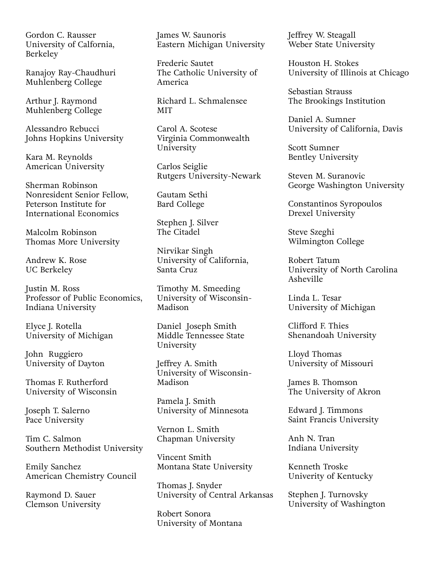Gordon C. Rausser University of Calfornia, Berkeley

Ranajoy Ray-Chaudhuri Muhlenberg College

Arthur J. Raymond Muhlenberg College

Alessandro Rebucci Johns Hopkins University

Kara M. Reynolds American University

Sherman Robinson Nonresident Senior Fellow, Peterson Institute for International Economics

Malcolm Robinson Thomas More University

Andrew K. Rose UC Berkeley

Justin M. Ross Professor of Public Economics, Indiana University

Elyce J. Rotella University of Michigan

John Ruggiero University of Dayton

Thomas F. Rutherford University of Wisconsin

Joseph T. Salerno Pace University

Tim C. Salmon Southern Methodist University

Emily Sanchez American Chemistry Council

Raymond D. Sauer Clemson University James W. Saunoris Eastern Michigan University

Frederic Sautet The Catholic University of America

Richard L. Schmalensee MIT

Carol A. Scotese Virginia Commonwealth University

Carlos Seiglie Rutgers University-Newark

Gautam Sethi Bard College

Stephen J. Silver The Citadel

Nirvikar Singh University of California, Santa Cruz

Timothy M. Smeeding University of Wisconsin-Madison

Daniel Joseph Smith Middle Tennessee State University

Jeffrey A. Smith University of Wisconsin-Madison

Pamela J. Smith University of Minnesota

Vernon L. Smith Chapman University

Vincent Smith Montana State University

Thomas J. Snyder University of Central Arkansas

Robert Sonora University of Montana Jeffrey W. Steagall Weber State University

Houston H. Stokes University of Illinois at Chicago

Sebastian Strauss The Brookings Institution

Daniel A. Sumner University of California, Davis

Scott Sumner Bentley University

Steven M. Suranovic George Washington University

Constantinos Syropoulos Drexel University

Steve Szeghi Wilmington College

Robert Tatum University of North Carolina Asheville

Linda L. Tesar University of Michigan

Clifford F. Thies Shenandoah University

Lloyd Thomas University of Missouri

James B. Thomson The University of Akron

Edward J. Timmons Saint Francis University

Anh N. Tran Indiana University

Kenneth Troske Univerity of Kentucky

Stephen J. Turnovsky University of Washington